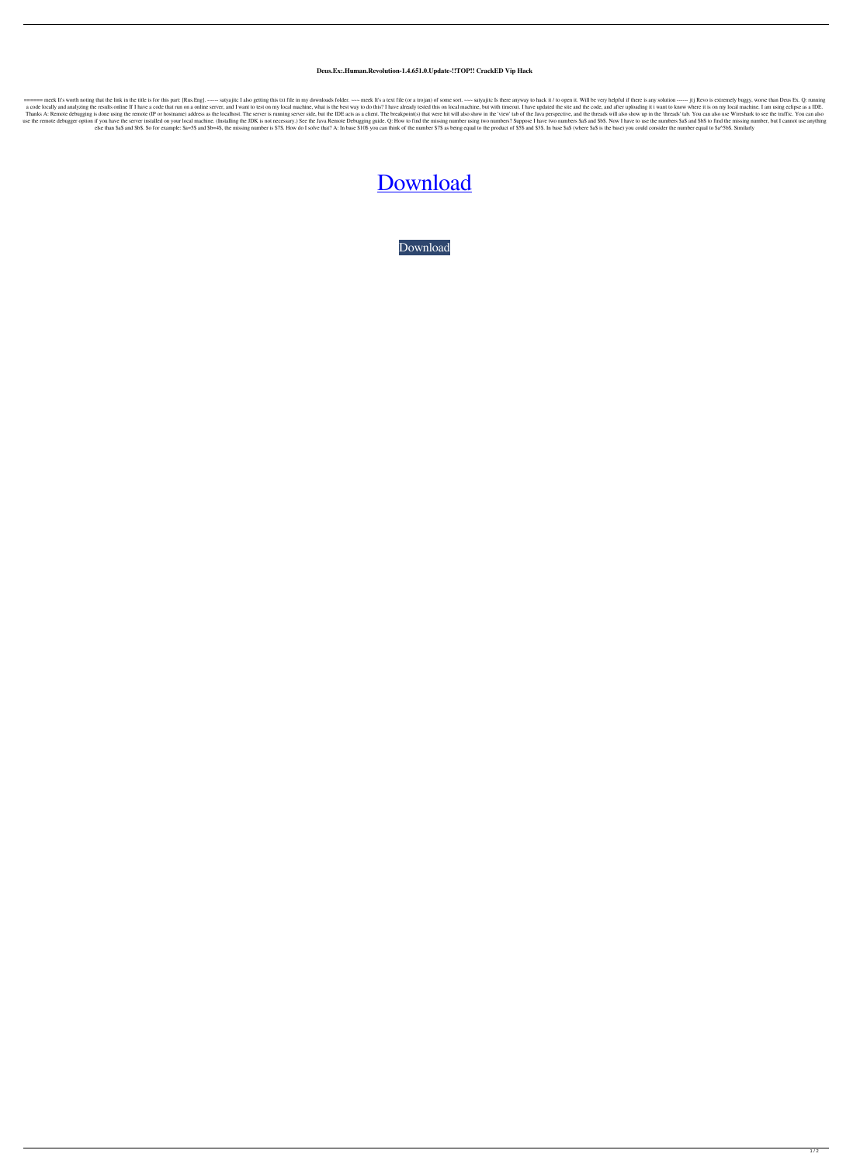## **Deus.Ex:.Human.Revolution-1.4.651.0.Update-!!TOP!! CrackED Vip Hack**

===== meek It's worth noting that the link in the title is for this part: [Rus.Eng]. ------ satyajitc I also getting this txt file in my downloads folder. ~~ meek It's a text file (or a trojan) of some sort. ~~ satyajitc I a code locally and analyzing the results online If I have a code that run on a online server, and I want to test on my local machine, what is the best way to do this? I have already tested this on local machine, but with t Thanks A: Remote debugging is done using the remote (IP or hostname) address as the localhost. The server is running server side, but the IDE acts as a client. The breakpoint(s) that were hit will also show in the 'view' t use the remote debugger option if you have the server installed on your local machine. (Installing the JDK is not necessary.) See the Java Remote Debugging guide. Q: How to find the missing numbers? Suppose I have two numb else than \$a\$ and \$b\$. So for example: \$a=5\$ and \$b=4\$, the missing number is \$7\$. How do I solve that? A: In base \$10\$ you can think of the number \$7\$ as being equal to the product of \$5\$ and \$3\$. In base \$a\$ (where \$a\$ i

## [Download](https://shurll.com/2l143y)

[Download](https://shurll.com/2l143y)